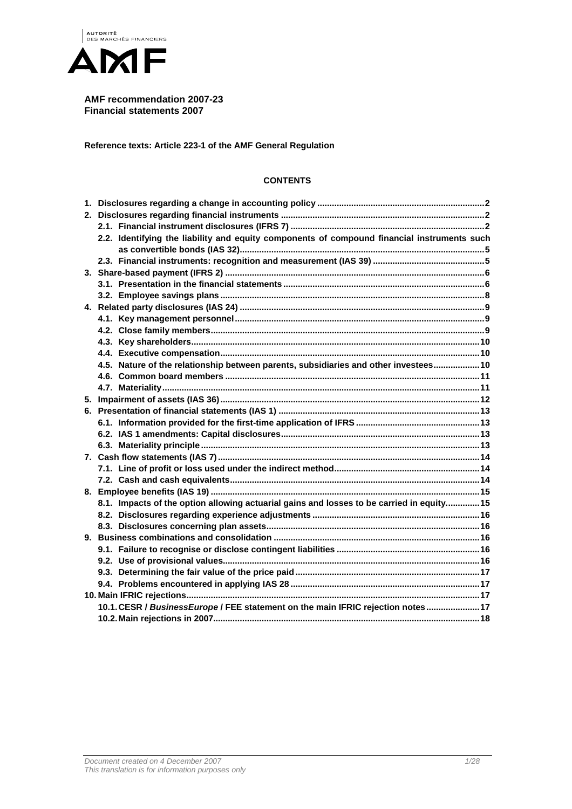



**AMF recommendation 2007-23 Financial statements 2007** 

**Reference texts: Article 223-1 of the AMF General Regulation** 

# **CONTENTS**

|  | 2.2. Identifying the liability and equity components of compound financial instruments such |
|--|---------------------------------------------------------------------------------------------|
|  |                                                                                             |
|  |                                                                                             |
|  |                                                                                             |
|  |                                                                                             |
|  |                                                                                             |
|  |                                                                                             |
|  |                                                                                             |
|  |                                                                                             |
|  |                                                                                             |
|  |                                                                                             |
|  | 4.5. Nature of the relationship between parents, subsidiaries and other investees 10        |
|  |                                                                                             |
|  |                                                                                             |
|  |                                                                                             |
|  |                                                                                             |
|  |                                                                                             |
|  |                                                                                             |
|  |                                                                                             |
|  |                                                                                             |
|  |                                                                                             |
|  |                                                                                             |
|  |                                                                                             |
|  | 8.1. Impacts of the option allowing actuarial gains and losses to be carried in equity 15   |
|  |                                                                                             |
|  |                                                                                             |
|  |                                                                                             |
|  |                                                                                             |
|  |                                                                                             |
|  |                                                                                             |
|  |                                                                                             |
|  |                                                                                             |
|  | 10.1. CESR / BusinessEurope / FEE statement on the main IFRIC rejection notes 17            |
|  |                                                                                             |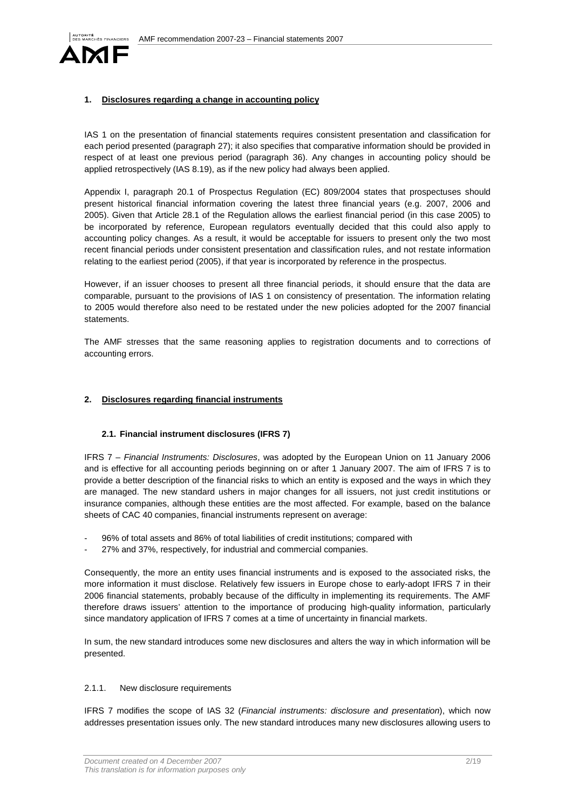

# **1. Disclosures regarding a change in accounting policy**

IAS 1 on the presentation of financial statements requires consistent presentation and classification for each period presented (paragraph 27); it also specifies that comparative information should be provided in respect of at least one previous period (paragraph 36). Any changes in accounting policy should be applied retrospectively (IAS 8.19), as if the new policy had always been applied.

Appendix I, paragraph 20.1 of Prospectus Regulation (EC) 809/2004 states that prospectuses should present historical financial information covering the latest three financial years (e.g. 2007, 2006 and 2005). Given that Article 28.1 of the Regulation allows the earliest financial period (in this case 2005) to be incorporated by reference, European regulators eventually decided that this could also apply to accounting policy changes. As a result, it would be acceptable for issuers to present only the two most recent financial periods under consistent presentation and classification rules, and not restate information relating to the earliest period (2005), if that year is incorporated by reference in the prospectus.

However, if an issuer chooses to present all three financial periods, it should ensure that the data are comparable, pursuant to the provisions of IAS 1 on consistency of presentation. The information relating to 2005 would therefore also need to be restated under the new policies adopted for the 2007 financial statements.

The AMF stresses that the same reasoning applies to registration documents and to corrections of accounting errors.

### **2. Disclosures regarding financial instruments**

## **2.1. Financial instrument disclosures (IFRS 7)**

IFRS 7 – Financial Instruments: Disclosures, was adopted by the European Union on 11 January 2006 and is effective for all accounting periods beginning on or after 1 January 2007. The aim of IFRS 7 is to provide a better description of the financial risks to which an entity is exposed and the ways in which they are managed. The new standard ushers in major changes for all issuers, not just credit institutions or insurance companies, although these entities are the most affected. For example, based on the balance sheets of CAC 40 companies, financial instruments represent on average:

- 96% of total assets and 86% of total liabilities of credit institutions; compared with
- 27% and 37%, respectively, for industrial and commercial companies.

Consequently, the more an entity uses financial instruments and is exposed to the associated risks, the more information it must disclose. Relatively few issuers in Europe chose to early-adopt IFRS 7 in their 2006 financial statements, probably because of the difficulty in implementing its requirements. The AMF therefore draws issuers' attention to the importance of producing high-quality information, particularly since mandatory application of IFRS 7 comes at a time of uncertainty in financial markets.

In sum, the new standard introduces some new disclosures and alters the way in which information will be presented.

#### 2.1.1. New disclosure requirements

IFRS 7 modifies the scope of IAS 32 (Financial instruments: disclosure and presentation), which now addresses presentation issues only. The new standard introduces many new disclosures allowing users to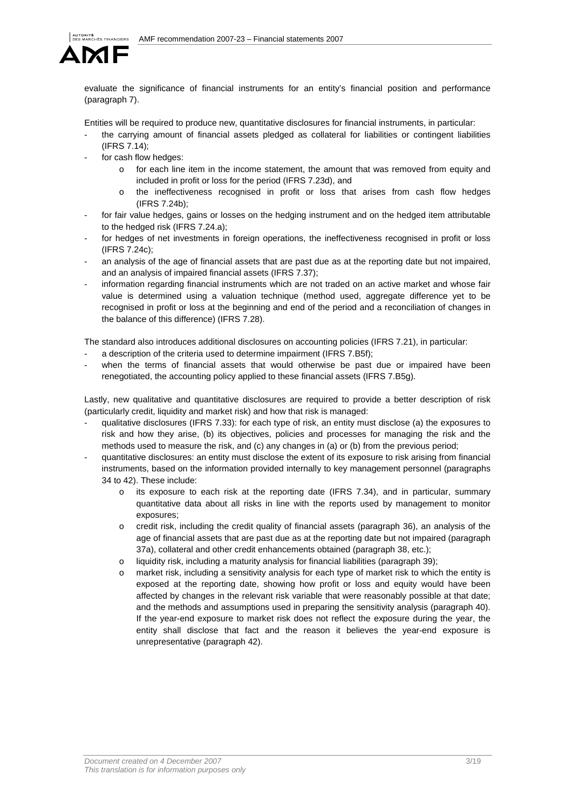

evaluate the significance of financial instruments for an entity's financial position and performance (paragraph 7).

Entities will be required to produce new, quantitative disclosures for financial instruments, in particular:

- the carrying amount of financial assets pledged as collateral for liabilities or contingent liabilities (IFRS 7.14);
- for cash flow hedges:
	- o for each line item in the income statement, the amount that was removed from equity and included in profit or loss for the period (IFRS 7.23d), and
	- o the ineffectiveness recognised in profit or loss that arises from cash flow hedges (IFRS 7.24b);
- for fair value hedges, gains or losses on the hedging instrument and on the hedged item attributable to the hedged risk (IFRS 7.24.a);
- for hedges of net investments in foreign operations, the ineffectiveness recognised in profit or loss (IFRS 7.24c);
- an analysis of the age of financial assets that are past due as at the reporting date but not impaired, and an analysis of impaired financial assets (IFRS 7.37);
- information regarding financial instruments which are not traded on an active market and whose fair value is determined using a valuation technique (method used, aggregate difference yet to be recognised in profit or loss at the beginning and end of the period and a reconciliation of changes in the balance of this difference) (IFRS 7.28).

The standard also introduces additional disclosures on accounting policies (IFRS 7.21), in particular:

- a description of the criteria used to determine impairment (IFRS 7.B5f);
- when the terms of financial assets that would otherwise be past due or impaired have been renegotiated, the accounting policy applied to these financial assets (IFRS 7.B5g).

Lastly, new qualitative and quantitative disclosures are required to provide a better description of risk (particularly credit, liquidity and market risk) and how that risk is managed:

- qualitative disclosures (IFRS 7.33): for each type of risk, an entity must disclose (a) the exposures to risk and how they arise, (b) its objectives, policies and processes for managing the risk and the methods used to measure the risk, and (c) any changes in (a) or (b) from the previous period;
- quantitative disclosures: an entity must disclose the extent of its exposure to risk arising from financial instruments, based on the information provided internally to key management personnel (paragraphs 34 to 42). These include:
	- o its exposure to each risk at the reporting date (IFRS 7.34), and in particular, summary quantitative data about all risks in line with the reports used by management to monitor exposures;
	- o credit risk, including the credit quality of financial assets (paragraph 36), an analysis of the age of financial assets that are past due as at the reporting date but not impaired (paragraph 37a), collateral and other credit enhancements obtained (paragraph 38, etc.);
	- o liquidity risk, including a maturity analysis for financial liabilities (paragraph 39);
	- o market risk, including a sensitivity analysis for each type of market risk to which the entity is exposed at the reporting date, showing how profit or loss and equity would have been affected by changes in the relevant risk variable that were reasonably possible at that date; and the methods and assumptions used in preparing the sensitivity analysis (paragraph 40). If the year-end exposure to market risk does not reflect the exposure during the year, the entity shall disclose that fact and the reason it believes the year-end exposure is unrepresentative (paragraph 42).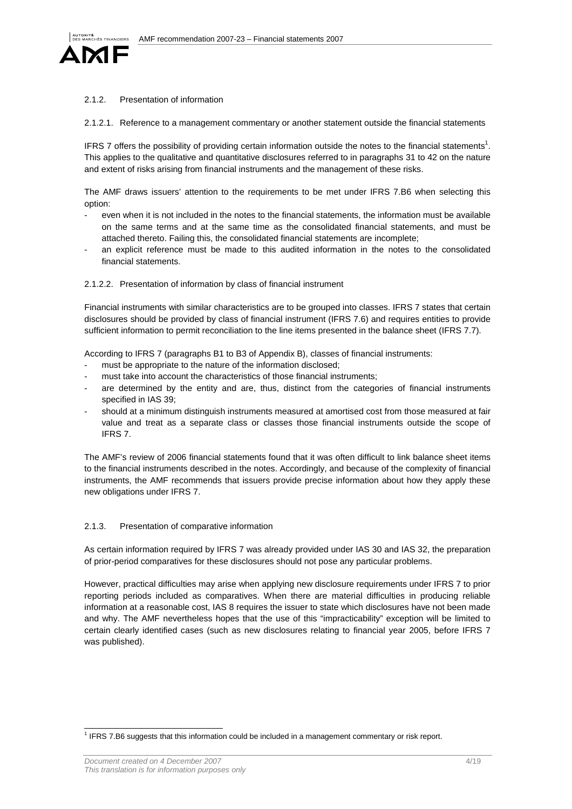

## 2.1.2. Presentation of information

2.1.2.1. Reference to a management commentary or another statement outside the financial statements

IFRS 7 offers the possibility of providing certain information outside the notes to the financial statements<sup>1</sup>. This applies to the qualitative and quantitative disclosures referred to in paragraphs 31 to 42 on the nature and extent of risks arising from financial instruments and the management of these risks.

The AMF draws issuers' attention to the requirements to be met under IFRS 7.B6 when selecting this option:

- even when it is not included in the notes to the financial statements, the information must be available on the same terms and at the same time as the consolidated financial statements, and must be attached thereto. Failing this, the consolidated financial statements are incomplete;
- an explicit reference must be made to this audited information in the notes to the consolidated financial statements.

### 2.1.2.2. Presentation of information by class of financial instrument

Financial instruments with similar characteristics are to be grouped into classes. IFRS 7 states that certain disclosures should be provided by class of financial instrument (IFRS 7.6) and requires entities to provide sufficient information to permit reconciliation to the line items presented in the balance sheet (IFRS 7.7).

According to IFRS 7 (paragraphs B1 to B3 of Appendix B), classes of financial instruments:

- must be appropriate to the nature of the information disclosed;
- must take into account the characteristics of those financial instruments;
- are determined by the entity and are, thus, distinct from the categories of financial instruments specified in IAS 39;
- should at a minimum distinguish instruments measured at amortised cost from those measured at fair value and treat as a separate class or classes those financial instruments outside the scope of IFRS 7.

The AMF's review of 2006 financial statements found that it was often difficult to link balance sheet items to the financial instruments described in the notes. Accordingly, and because of the complexity of financial instruments, the AMF recommends that issuers provide precise information about how they apply these new obligations under IFRS 7.

## 2.1.3. Presentation of comparative information

As certain information required by IFRS 7 was already provided under IAS 30 and IAS 32, the preparation of prior-period comparatives for these disclosures should not pose any particular problems.

However, practical difficulties may arise when applying new disclosure requirements under IFRS 7 to prior reporting periods included as comparatives. When there are material difficulties in producing reliable information at a reasonable cost, IAS 8 requires the issuer to state which disclosures have not been made and why. The AMF nevertheless hopes that the use of this "impracticability" exception will be limited to certain clearly identified cases (such as new disclosures relating to financial year 2005, before IFRS 7 was published).

 1 IFRS 7.B6 suggests that this information could be included in a management commentary or risk report.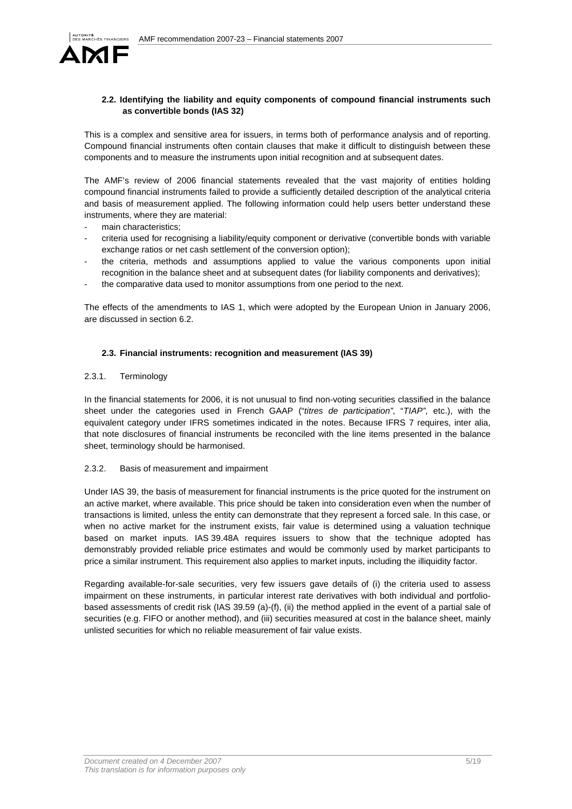

# **2.2. Identifying the liability and equity components of compound financial instruments such as convertible bonds (IAS 32)**

This is a complex and sensitive area for issuers, in terms both of performance analysis and of reporting. Compound financial instruments often contain clauses that make it difficult to distinguish between these components and to measure the instruments upon initial recognition and at subsequent dates.

The AMF's review of 2006 financial statements revealed that the vast majority of entities holding compound financial instruments failed to provide a sufficiently detailed description of the analytical criteria and basis of measurement applied. The following information could help users better understand these instruments, where they are material:

- main characteristics;
- criteria used for recognising a liability/equity component or derivative (convertible bonds with variable exchange ratios or net cash settlement of the conversion option);
- the criteria, methods and assumptions applied to value the various components upon initial recognition in the balance sheet and at subsequent dates (for liability components and derivatives);
- the comparative data used to monitor assumptions from one period to the next.

The effects of the amendments to IAS 1, which were adopted by the European Union in January 2006, are discussed in section 6.2.

### **2.3. Financial instruments: recognition and measurement (IAS 39)**

### 2.3.1. Terminology

In the financial statements for 2006, it is not unusual to find non-voting securities classified in the balance sheet under the categories used in French GAAP ("titres de participation", "TIAP", etc.), with the equivalent category under IFRS sometimes indicated in the notes. Because IFRS 7 requires, inter alia, that note disclosures of financial instruments be reconciled with the line items presented in the balance sheet, terminology should be harmonised.

#### 2.3.2. Basis of measurement and impairment

Under IAS 39, the basis of measurement for financial instruments is the price quoted for the instrument on an active market, where available. This price should be taken into consideration even when the number of transactions is limited, unless the entity can demonstrate that they represent a forced sale. In this case, or when no active market for the instrument exists, fair value is determined using a valuation technique based on market inputs. IAS 39.48A requires issuers to show that the technique adopted has demonstrably provided reliable price estimates and would be commonly used by market participants to price a similar instrument. This requirement also applies to market inputs, including the illiquidity factor.

Regarding available-for-sale securities, very few issuers gave details of (i) the criteria used to assess impairment on these instruments, in particular interest rate derivatives with both individual and portfoliobased assessments of credit risk (IAS 39.59 (a)-(f), (ii) the method applied in the event of a partial sale of securities (e.g. FIFO or another method), and (iii) securities measured at cost in the balance sheet, mainly unlisted securities for which no reliable measurement of fair value exists.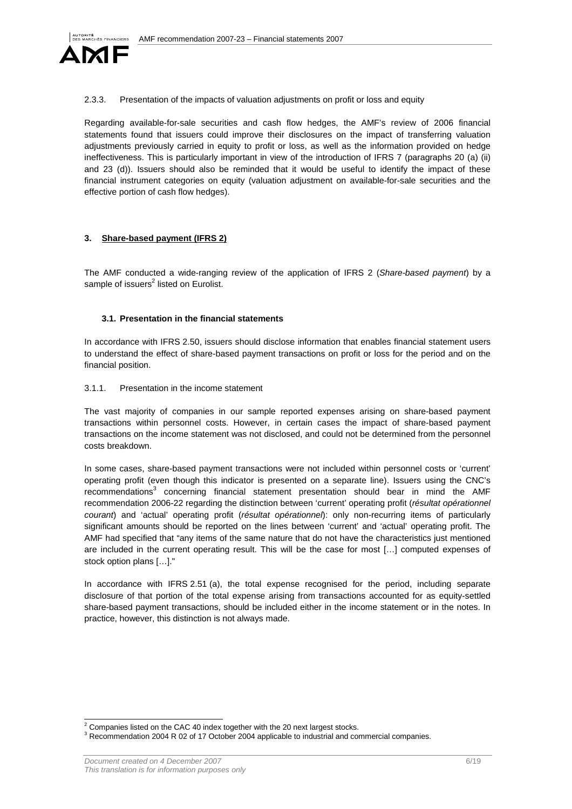

# 2.3.3. Presentation of the impacts of valuation adjustments on profit or loss and equity

Regarding available-for-sale securities and cash flow hedges, the AMF's review of 2006 financial statements found that issuers could improve their disclosures on the impact of transferring valuation adjustments previously carried in equity to profit or loss, as well as the information provided on hedge ineffectiveness. This is particularly important in view of the introduction of IFRS 7 (paragraphs 20 (a) (ii) and 23 (d)). Issuers should also be reminded that it would be useful to identify the impact of these financial instrument categories on equity (valuation adjustment on available-for-sale securities and the effective portion of cash flow hedges).

## **3. Share-based payment (IFRS 2)**

The AMF conducted a wide-ranging review of the application of IFRS 2 (Share-based payment) by a sample of issuers<sup>2</sup> listed on Eurolist.

## **3.1. Presentation in the financial statements**

In accordance with IFRS 2.50, issuers should disclose information that enables financial statement users to understand the effect of share-based payment transactions on profit or loss for the period and on the financial position.

### 3.1.1. Presentation in the income statement

The vast majority of companies in our sample reported expenses arising on share-based payment transactions within personnel costs. However, in certain cases the impact of share-based payment transactions on the income statement was not disclosed, and could not be determined from the personnel costs breakdown.

In some cases, share-based payment transactions were not included within personnel costs or 'current' operating profit (even though this indicator is presented on a separate line). Issuers using the CNC's recommendations<sup>3</sup> concerning financial statement presentation should bear in mind the AMF recommendation 2006-22 regarding the distinction between 'current' operating profit (résultat opérationnel courant) and 'actual' operating profit (résultat opérationne): only non-recurring items of particularly significant amounts should be reported on the lines between 'current' and 'actual' operating profit. The AMF had specified that "any items of the same nature that do not have the characteristics just mentioned are included in the current operating result. This will be the case for most […] computed expenses of stock option plans […]."

In accordance with IFRS 2.51 (a), the total expense recognised for the period, including separate disclosure of that portion of the total expense arising from transactions accounted for as equity-settled share-based payment transactions, should be included either in the income statement or in the notes. In practice, however, this distinction is not always made.

 $\overline{a}$ 2 Companies listed on the CAC 40 index together with the 20 next largest stocks.

<sup>&</sup>lt;sup>3</sup> Recommendation 2004 R 02 of 17 October 2004 applicable to industrial and commercial companies.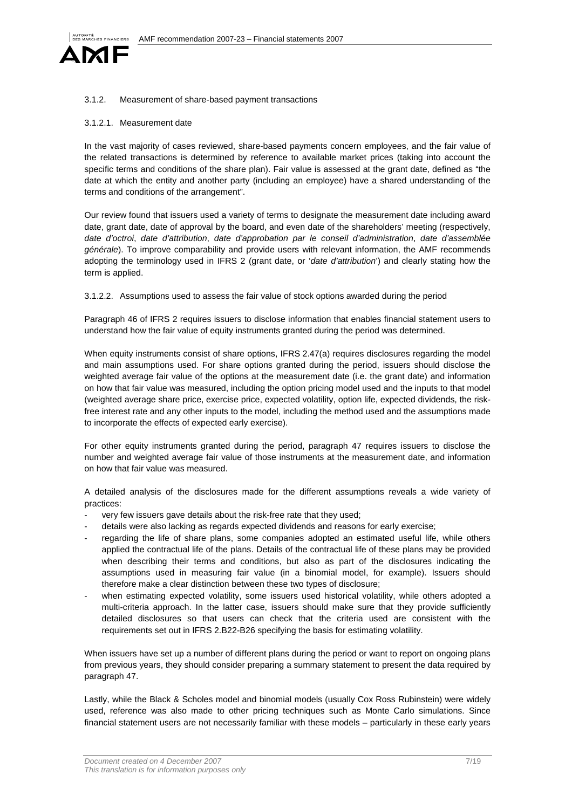

### 3.1.2. Measurement of share-based payment transactions

#### 3.1.2.1. Measurement date

In the vast majority of cases reviewed, share-based payments concern employees, and the fair value of the related transactions is determined by reference to available market prices (taking into account the specific terms and conditions of the share plan). Fair value is assessed at the grant date, defined as "the date at which the entity and another party (including an employee) have a shared understanding of the terms and conditions of the arrangement".

Our review found that issuers used a variety of terms to designate the measurement date including award date, grant date, date of approval by the board, and even date of the shareholders' meeting (respectively, date d'octroi, date d'attribution, date d'approbation par le conseil d'administration, date d'assemblée générale). To improve comparability and provide users with relevant information, the AMF recommends adopting the terminology used in IFRS 2 (grant date, or 'date d'attribution') and clearly stating how the term is applied.

3.1.2.2. Assumptions used to assess the fair value of stock options awarded during the period

Paragraph 46 of IFRS 2 requires issuers to disclose information that enables financial statement users to understand how the fair value of equity instruments granted during the period was determined.

When equity instruments consist of share options, IFRS 2.47(a) requires disclosures regarding the model and main assumptions used. For share options granted during the period, issuers should disclose the weighted average fair value of the options at the measurement date (i.e. the grant date) and information on how that fair value was measured, including the option pricing model used and the inputs to that model (weighted average share price, exercise price, expected volatility, option life, expected dividends, the riskfree interest rate and any other inputs to the model, including the method used and the assumptions made to incorporate the effects of expected early exercise).

For other equity instruments granted during the period, paragraph 47 requires issuers to disclose the number and weighted average fair value of those instruments at the measurement date, and information on how that fair value was measured.

A detailed analysis of the disclosures made for the different assumptions reveals a wide variety of practices:

- very few issuers gave details about the risk-free rate that they used;
- details were also lacking as regards expected dividends and reasons for early exercise;
- regarding the life of share plans, some companies adopted an estimated useful life, while others applied the contractual life of the plans. Details of the contractual life of these plans may be provided when describing their terms and conditions, but also as part of the disclosures indicating the assumptions used in measuring fair value (in a binomial model, for example). Issuers should therefore make a clear distinction between these two types of disclosure;
- when estimating expected volatility, some issuers used historical volatility, while others adopted a multi-criteria approach. In the latter case, issuers should make sure that they provide sufficiently detailed disclosures so that users can check that the criteria used are consistent with the requirements set out in IFRS 2.B22-B26 specifying the basis for estimating volatility.

When issuers have set up a number of different plans during the period or want to report on ongoing plans from previous years, they should consider preparing a summary statement to present the data required by paragraph 47.

Lastly, while the Black & Scholes model and binomial models (usually Cox Ross Rubinstein) were widely used, reference was also made to other pricing techniques such as Monte Carlo simulations. Since financial statement users are not necessarily familiar with these models – particularly in these early years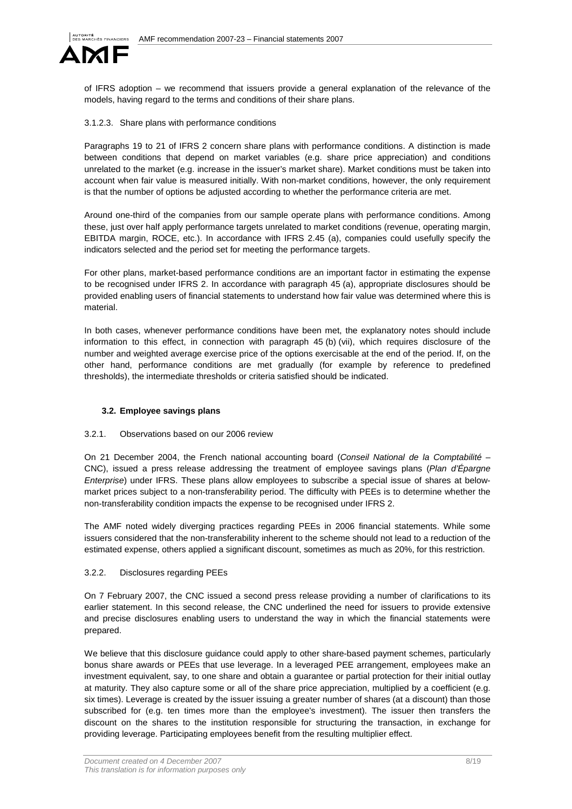

of IFRS adoption – we recommend that issuers provide a general explanation of the relevance of the models, having regard to the terms and conditions of their share plans.

#### 3.1.2.3. Share plans with performance conditions

Paragraphs 19 to 21 of IFRS 2 concern share plans with performance conditions. A distinction is made between conditions that depend on market variables (e.g. share price appreciation) and conditions unrelated to the market (e.g. increase in the issuer's market share). Market conditions must be taken into account when fair value is measured initially. With non-market conditions, however, the only requirement is that the number of options be adjusted according to whether the performance criteria are met.

Around one-third of the companies from our sample operate plans with performance conditions. Among these, just over half apply performance targets unrelated to market conditions (revenue, operating margin, EBITDA margin, ROCE, etc.). In accordance with IFRS 2.45 (a), companies could usefully specify the indicators selected and the period set for meeting the performance targets.

For other plans, market-based performance conditions are an important factor in estimating the expense to be recognised under IFRS 2. In accordance with paragraph 45 (a), appropriate disclosures should be provided enabling users of financial statements to understand how fair value was determined where this is material.

In both cases, whenever performance conditions have been met, the explanatory notes should include information to this effect, in connection with paragraph 45 (b) (vii), which requires disclosure of the number and weighted average exercise price of the options exercisable at the end of the period. If, on the other hand, performance conditions are met gradually (for example by reference to predefined thresholds), the intermediate thresholds or criteria satisfied should be indicated.

## **3.2. Employee savings plans**

#### 3.2.1. Observations based on our 2006 review

On 21 December 2004, the French national accounting board (Conseil National de la Comptabilité – CNC), issued a press release addressing the treatment of employee savings plans (Plan d'Épargne Enterprise) under IFRS. These plans allow employees to subscribe a special issue of shares at belowmarket prices subject to a non-transferability period. The difficulty with PEEs is to determine whether the non-transferability condition impacts the expense to be recognised under IFRS 2.

The AMF noted widely diverging practices regarding PEEs in 2006 financial statements. While some issuers considered that the non-transferability inherent to the scheme should not lead to a reduction of the estimated expense, others applied a significant discount, sometimes as much as 20%, for this restriction.

#### 3.2.2. Disclosures regarding PEEs

On 7 February 2007, the CNC issued a second press release providing a number of clarifications to its earlier statement. In this second release, the CNC underlined the need for issuers to provide extensive and precise disclosures enabling users to understand the way in which the financial statements were prepared.

We believe that this disclosure guidance could apply to other share-based payment schemes, particularly bonus share awards or PEEs that use leverage. In a leveraged PEE arrangement, employees make an investment equivalent, say, to one share and obtain a guarantee or partial protection for their initial outlay at maturity. They also capture some or all of the share price appreciation, multiplied by a coefficient (e.g. six times). Leverage is created by the issuer issuing a greater number of shares (at a discount) than those subscribed for (e.g. ten times more than the employee's investment). The issuer then transfers the discount on the shares to the institution responsible for structuring the transaction, in exchange for providing leverage. Participating employees benefit from the resulting multiplier effect.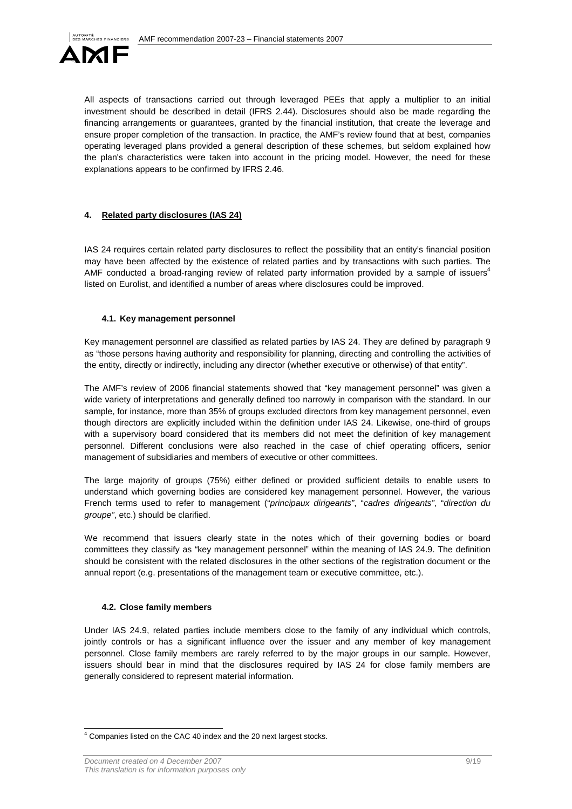

All aspects of transactions carried out through leveraged PEEs that apply a multiplier to an initial investment should be described in detail (IFRS 2.44). Disclosures should also be made regarding the financing arrangements or guarantees, granted by the financial institution, that create the leverage and ensure proper completion of the transaction. In practice, the AMF's review found that at best, companies operating leveraged plans provided a general description of these schemes, but seldom explained how the plan's characteristics were taken into account in the pricing model. However, the need for these explanations appears to be confirmed by IFRS 2.46.

## **4. Related party disclosures (IAS 24)**

IAS 24 requires certain related party disclosures to reflect the possibility that an entity's financial position may have been affected by the existence of related parties and by transactions with such parties. The AMF conducted a broad-ranging review of related party information provided by a sample of issuers<sup>4</sup> listed on Eurolist, and identified a number of areas where disclosures could be improved.

## **4.1. Key management personnel**

Key management personnel are classified as related parties by IAS 24. They are defined by paragraph 9 as "those persons having authority and responsibility for planning, directing and controlling the activities of the entity, directly or indirectly, including any director (whether executive or otherwise) of that entity".

The AMF's review of 2006 financial statements showed that "key management personnel" was given a wide variety of interpretations and generally defined too narrowly in comparison with the standard. In our sample, for instance, more than 35% of groups excluded directors from key management personnel, even though directors are explicitly included within the definition under IAS 24. Likewise, one-third of groups with a supervisory board considered that its members did not meet the definition of key management personnel. Different conclusions were also reached in the case of chief operating officers, senior management of subsidiaries and members of executive or other committees.

The large majority of groups (75%) either defined or provided sufficient details to enable users to understand which governing bodies are considered key management personnel. However, the various French terms used to refer to management ("principaux dirigeants", "cadres dirigeants", "direction du groupe", etc.) should be clarified.

We recommend that issuers clearly state in the notes which of their governing bodies or board committees they classify as "key management personnel" within the meaning of IAS 24.9. The definition should be consistent with the related disclosures in the other sections of the registration document or the annual report (e.g. presentations of the management team or executive committee, etc.).

## **4.2. Close family members**

Under IAS 24.9, related parties include members close to the family of any individual which controls, jointly controls or has a significant influence over the issuer and any member of key management personnel. Close family members are rarely referred to by the major groups in our sample. However, issuers should bear in mind that the disclosures required by IAS 24 for close family members are generally considered to represent material information.

 4 Companies listed on the CAC 40 index and the 20 next largest stocks.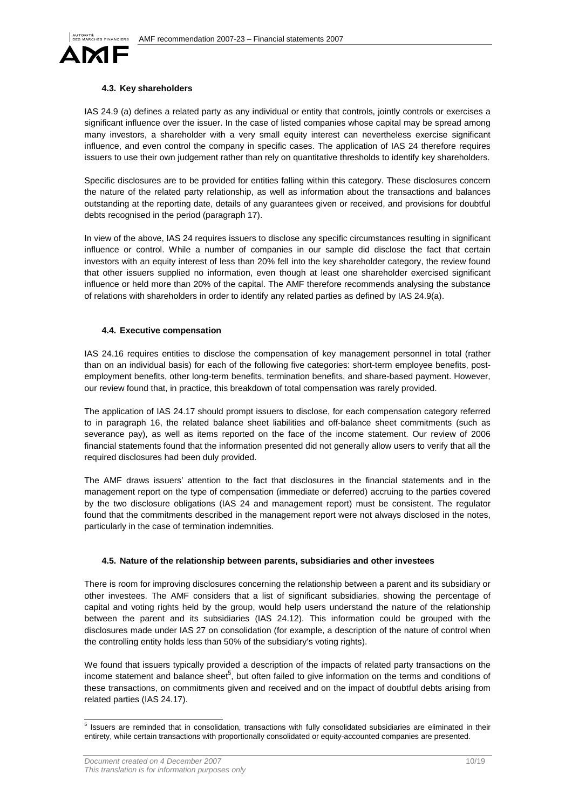

### **4.3. Key shareholders**

IAS 24.9 (a) defines a related party as any individual or entity that controls, jointly controls or exercises a significant influence over the issuer. In the case of listed companies whose capital may be spread among many investors, a shareholder with a very small equity interest can nevertheless exercise significant influence, and even control the company in specific cases. The application of IAS 24 therefore requires issuers to use their own judgement rather than rely on quantitative thresholds to identify key shareholders.

Specific disclosures are to be provided for entities falling within this category. These disclosures concern the nature of the related party relationship, as well as information about the transactions and balances outstanding at the reporting date, details of any guarantees given or received, and provisions for doubtful debts recognised in the period (paragraph 17).

In view of the above, IAS 24 requires issuers to disclose any specific circumstances resulting in significant influence or control. While a number of companies in our sample did disclose the fact that certain investors with an equity interest of less than 20% fell into the key shareholder category, the review found that other issuers supplied no information, even though at least one shareholder exercised significant influence or held more than 20% of the capital. The AMF therefore recommends analysing the substance of relations with shareholders in order to identify any related parties as defined by IAS 24.9(a).

### **4.4. Executive compensation**

IAS 24.16 requires entities to disclose the compensation of key management personnel in total (rather than on an individual basis) for each of the following five categories: short-term employee benefits, postemployment benefits, other long-term benefits, termination benefits, and share-based payment. However, our review found that, in practice, this breakdown of total compensation was rarely provided.

The application of IAS 24.17 should prompt issuers to disclose, for each compensation category referred to in paragraph 16, the related balance sheet liabilities and off-balance sheet commitments (such as severance pay), as well as items reported on the face of the income statement. Our review of 2006 financial statements found that the information presented did not generally allow users to verify that all the required disclosures had been duly provided.

The AMF draws issuers' attention to the fact that disclosures in the financial statements and in the management report on the type of compensation (immediate or deferred) accruing to the parties covered by the two disclosure obligations (IAS 24 and management report) must be consistent. The regulator found that the commitments described in the management report were not always disclosed in the notes, particularly in the case of termination indemnities.

## **4.5. Nature of the relationship between parents, subsidiaries and other investees**

There is room for improving disclosures concerning the relationship between a parent and its subsidiary or other investees. The AMF considers that a list of significant subsidiaries, showing the percentage of capital and voting rights held by the group, would help users understand the nature of the relationship between the parent and its subsidiaries (IAS 24.12). This information could be grouped with the disclosures made under IAS 27 on consolidation (for example, a description of the nature of control when the controlling entity holds less than 50% of the subsidiary's voting rights).

We found that issuers typically provided a description of the impacts of related party transactions on the income statement and balance sheet<sup>5</sup>, but often failed to give information on the terms and conditions of these transactions, on commitments given and received and on the impact of doubtful debts arising from related parties (IAS 24.17).

 5 Issuers are reminded that in consolidation, transactions with fully consolidated subsidiaries are eliminated in their entirety, while certain transactions with proportionally consolidated or equity-accounted companies are presented.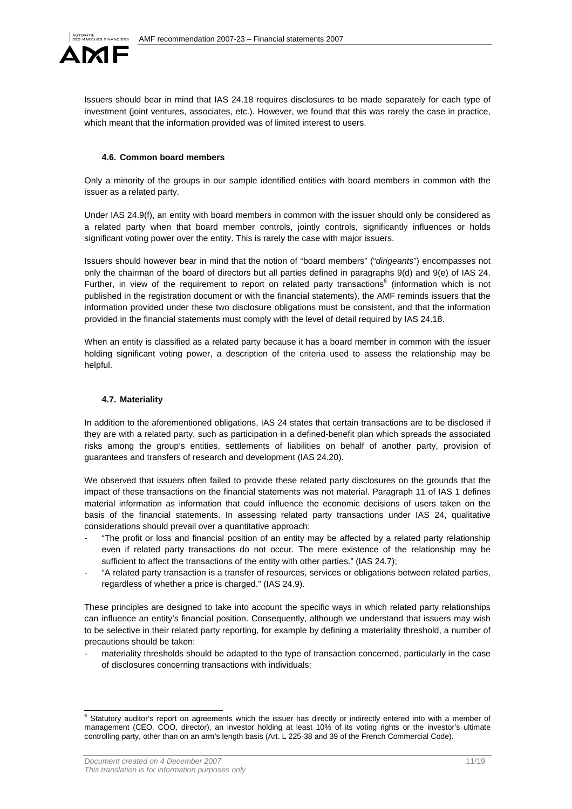

Issuers should bear in mind that IAS 24.18 requires disclosures to be made separately for each type of investment (joint ventures, associates, etc.). However, we found that this was rarely the case in practice, which meant that the information provided was of limited interest to users.

# **4.6. Common board members**

Only a minority of the groups in our sample identified entities with board members in common with the issuer as a related party.

Under IAS 24.9(f), an entity with board members in common with the issuer should only be considered as a related party when that board member controls, jointly controls, significantly influences or holds significant voting power over the entity. This is rarely the case with major issuers.

Issuers should however bear in mind that the notion of "board members" ("dirigeants") encompasses not only the chairman of the board of directors but all parties defined in paragraphs 9(d) and 9(e) of IAS 24. Further, in view of the requirement to report on related party transactions<sup>6</sup> (information which is not published in the registration document or with the financial statements), the AMF reminds issuers that the information provided under these two disclosure obligations must be consistent, and that the information provided in the financial statements must comply with the level of detail required by IAS 24.18.

When an entity is classified as a related party because it has a board member in common with the issuer holding significant voting power, a description of the criteria used to assess the relationship may be helpful.

# **4.7. Materiality**

In addition to the aforementioned obligations, IAS 24 states that certain transactions are to be disclosed if they are with a related party, such as participation in a defined-benefit plan which spreads the associated risks among the group's entities, settlements of liabilities on behalf of another party, provision of guarantees and transfers of research and development (IAS 24.20).

We observed that issuers often failed to provide these related party disclosures on the grounds that the impact of these transactions on the financial statements was not material. Paragraph 11 of IAS 1 defines material information as information that could influence the economic decisions of users taken on the basis of the financial statements. In assessing related party transactions under IAS 24, qualitative considerations should prevail over a quantitative approach:

- "The profit or loss and financial position of an entity may be affected by a related party relationship even if related party transactions do not occur. The mere existence of the relationship may be sufficient to affect the transactions of the entity with other parties." (IAS 24.7);
- "A related party transaction is a transfer of resources, services or obligations between related parties, regardless of whether a price is charged." (IAS 24.9).

These principles are designed to take into account the specific ways in which related party relationships can influence an entity's financial position. Consequently, although we understand that issuers may wish to be selective in their related party reporting, for example by defining a materiality threshold, a number of precautions should be taken:

materiality thresholds should be adapted to the type of transaction concerned, particularly in the case of disclosures concerning transactions with individuals;

<sup>6&</sup>lt;br>6 Statutory auditor's report on agreements which the issuer has directly or indirectly entered into with a member of management (CEO, COO, director), an investor holding at least 10% of its voting rights or the investor's ultimate controlling party, other than on an arm's length basis (Art. L 225-38 and 39 of the French Commercial Code).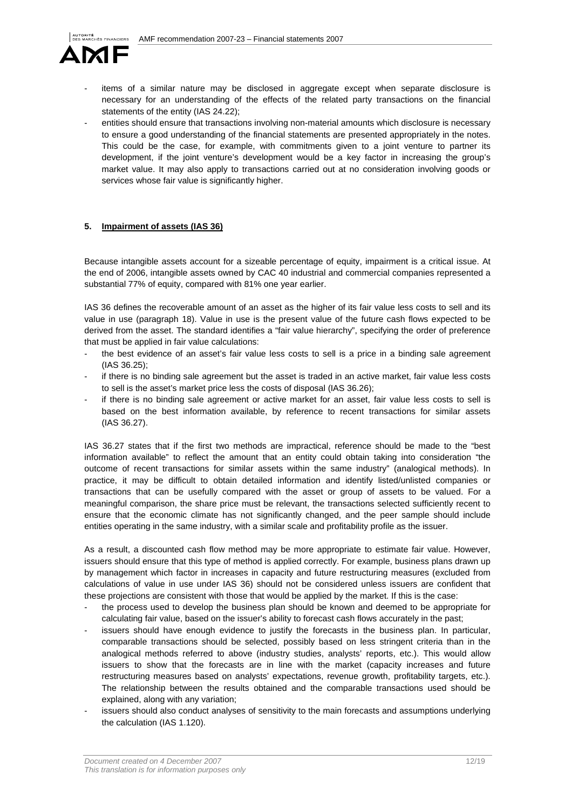

- items of a similar nature may be disclosed in aggregate except when separate disclosure is necessary for an understanding of the effects of the related party transactions on the financial statements of the entity (IAS 24.22);
- entities should ensure that transactions involving non-material amounts which disclosure is necessary to ensure a good understanding of the financial statements are presented appropriately in the notes. This could be the case, for example, with commitments given to a joint venture to partner its development, if the joint venture's development would be a key factor in increasing the group's market value. It may also apply to transactions carried out at no consideration involving goods or services whose fair value is significantly higher.

### **5. Impairment of assets (IAS 36)**

Because intangible assets account for a sizeable percentage of equity, impairment is a critical issue. At the end of 2006, intangible assets owned by CAC 40 industrial and commercial companies represented a substantial 77% of equity, compared with 81% one year earlier.

IAS 36 defines the recoverable amount of an asset as the higher of its fair value less costs to sell and its value in use (paragraph 18). Value in use is the present value of the future cash flows expected to be derived from the asset. The standard identifies a "fair value hierarchy", specifying the order of preference that must be applied in fair value calculations:

- the best evidence of an asset's fair value less costs to sell is a price in a binding sale agreement (IAS 36.25);
- if there is no binding sale agreement but the asset is traded in an active market, fair value less costs to sell is the asset's market price less the costs of disposal (IAS 36.26);
- if there is no binding sale agreement or active market for an asset, fair value less costs to sell is based on the best information available, by reference to recent transactions for similar assets (IAS 36.27).

IAS 36.27 states that if the first two methods are impractical, reference should be made to the "best information available" to reflect the amount that an entity could obtain taking into consideration "the outcome of recent transactions for similar assets within the same industry" (analogical methods). In practice, it may be difficult to obtain detailed information and identify listed/unlisted companies or transactions that can be usefully compared with the asset or group of assets to be valued. For a meaningful comparison, the share price must be relevant, the transactions selected sufficiently recent to ensure that the economic climate has not significantly changed, and the peer sample should include entities operating in the same industry, with a similar scale and profitability profile as the issuer.

As a result, a discounted cash flow method may be more appropriate to estimate fair value. However, issuers should ensure that this type of method is applied correctly. For example, business plans drawn up by management which factor in increases in capacity and future restructuring measures (excluded from calculations of value in use under IAS 36) should not be considered unless issuers are confident that these projections are consistent with those that would be applied by the market. If this is the case:

- the process used to develop the business plan should be known and deemed to be appropriate for calculating fair value, based on the issuer's ability to forecast cash flows accurately in the past;
- issuers should have enough evidence to justify the forecasts in the business plan. In particular, comparable transactions should be selected, possibly based on less stringent criteria than in the analogical methods referred to above (industry studies, analysts' reports, etc.). This would allow issuers to show that the forecasts are in line with the market (capacity increases and future restructuring measures based on analysts' expectations, revenue growth, profitability targets, etc.). The relationship between the results obtained and the comparable transactions used should be explained, along with any variation;
- issuers should also conduct analyses of sensitivity to the main forecasts and assumptions underlying the calculation (IAS 1.120).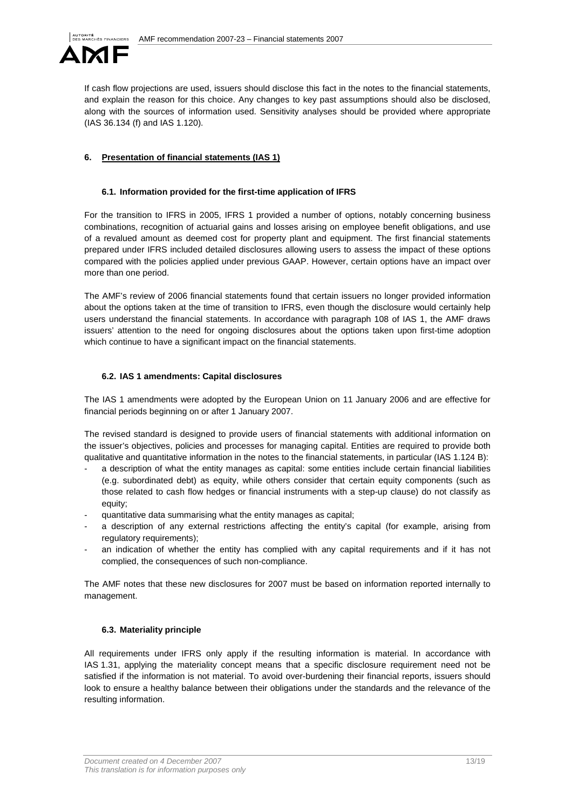

If cash flow projections are used, issuers should disclose this fact in the notes to the financial statements, and explain the reason for this choice. Any changes to key past assumptions should also be disclosed, along with the sources of information used. Sensitivity analyses should be provided where appropriate (IAS 36.134 (f) and IAS 1.120).

# **6. Presentation of financial statements (IAS 1)**

# **6.1. Information provided for the first-time application of IFRS**

For the transition to IFRS in 2005, IFRS 1 provided a number of options, notably concerning business combinations, recognition of actuarial gains and losses arising on employee benefit obligations, and use of a revalued amount as deemed cost for property plant and equipment. The first financial statements prepared under IFRS included detailed disclosures allowing users to assess the impact of these options compared with the policies applied under previous GAAP. However, certain options have an impact over more than one period.

The AMF's review of 2006 financial statements found that certain issuers no longer provided information about the options taken at the time of transition to IFRS, even though the disclosure would certainly help users understand the financial statements. In accordance with paragraph 108 of IAS 1, the AMF draws issuers' attention to the need for ongoing disclosures about the options taken upon first-time adoption which continue to have a significant impact on the financial statements.

## **6.2. IAS 1 amendments: Capital disclosures**

The IAS 1 amendments were adopted by the European Union on 11 January 2006 and are effective for financial periods beginning on or after 1 January 2007.

The revised standard is designed to provide users of financial statements with additional information on the issuer's objectives, policies and processes for managing capital. Entities are required to provide both qualitative and quantitative information in the notes to the financial statements, in particular (IAS 1.124 B):

- a description of what the entity manages as capital: some entities include certain financial liabilities (e.g. subordinated debt) as equity, while others consider that certain equity components (such as those related to cash flow hedges or financial instruments with a step-up clause) do not classify as equity;
- quantitative data summarising what the entity manages as capital;
- a description of any external restrictions affecting the entity's capital (for example, arising from regulatory requirements);
- an indication of whether the entity has complied with any capital requirements and if it has not complied, the consequences of such non-compliance.

The AMF notes that these new disclosures for 2007 must be based on information reported internally to management.

## **6.3. Materiality principle**

All requirements under IFRS only apply if the resulting information is material. In accordance with IAS 1.31, applying the materiality concept means that a specific disclosure requirement need not be satisfied if the information is not material. To avoid over-burdening their financial reports, issuers should look to ensure a healthy balance between their obligations under the standards and the relevance of the resulting information.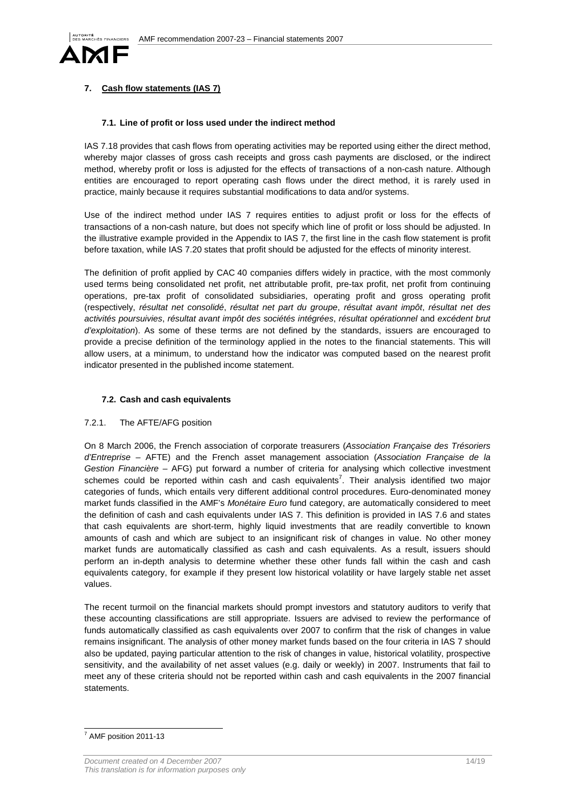

# **7. Cash flow statements (IAS 7)**

### **7.1. Line of profit or loss used under the indirect method**

IAS 7.18 provides that cash flows from operating activities may be reported using either the direct method, whereby major classes of gross cash receipts and gross cash payments are disclosed, or the indirect method, whereby profit or loss is adjusted for the effects of transactions of a non-cash nature. Although entities are encouraged to report operating cash flows under the direct method, it is rarely used in practice, mainly because it requires substantial modifications to data and/or systems.

Use of the indirect method under IAS 7 requires entities to adjust profit or loss for the effects of transactions of a non-cash nature, but does not specify which line of profit or loss should be adjusted. In the illustrative example provided in the Appendix to IAS 7, the first line in the cash flow statement is profit before taxation, while IAS 7.20 states that profit should be adjusted for the effects of minority interest.

The definition of profit applied by CAC 40 companies differs widely in practice, with the most commonly used terms being consolidated net profit, net attributable profit, pre-tax profit, net profit from continuing operations, pre-tax profit of consolidated subsidiaries, operating profit and gross operating profit (respectively, résultat net consolidé, résultat net part du groupe, résultat avant impôt, résultat net des activités poursuivies, résultat avant impôt des sociétés intégrées, résultat opérationnel and excédent brut d'exploitation). As some of these terms are not defined by the standards, issuers are encouraged to provide a precise definition of the terminology applied in the notes to the financial statements. This will allow users, at a minimum, to understand how the indicator was computed based on the nearest profit indicator presented in the published income statement.

### **7.2. Cash and cash equivalents**

#### 7.2.1. The AFTE/AFG position

On 8 March 2006, the French association of corporate treasurers (Association Française des Trésoriers d'Entreprise – AFTE) and the French asset management association (Association Française de la Gestion Financière – AFG) put forward a number of criteria for analysing which collective investment schemes could be reported within cash and cash equivalents<sup>7</sup>. Their analysis identified two major categories of funds, which entails very different additional control procedures. Euro-denominated money market funds classified in the AMF's Monétaire Euro fund category, are automatically considered to meet the definition of cash and cash equivalents under IAS 7. This definition is provided in IAS 7.6 and states that cash equivalents are short-term, highly liquid investments that are readily convertible to known amounts of cash and which are subject to an insignificant risk of changes in value. No other money market funds are automatically classified as cash and cash equivalents. As a result, issuers should perform an in-depth analysis to determine whether these other funds fall within the cash and cash equivalents category, for example if they present low historical volatility or have largely stable net asset values.

The recent turmoil on the financial markets should prompt investors and statutory auditors to verify that these accounting classifications are still appropriate. Issuers are advised to review the performance of funds automatically classified as cash equivalents over 2007 to confirm that the risk of changes in value remains insignificant. The analysis of other money market funds based on the four criteria in IAS 7 should also be updated, paying particular attention to the risk of changes in value, historical volatility, prospective sensitivity, and the availability of net asset values (e.g. daily or weekly) in 2007. Instruments that fail to meet any of these criteria should not be reported within cash and cash equivalents in the 2007 financial statements.

<sup>&</sup>lt;sup>7</sup> AMF position 2011-13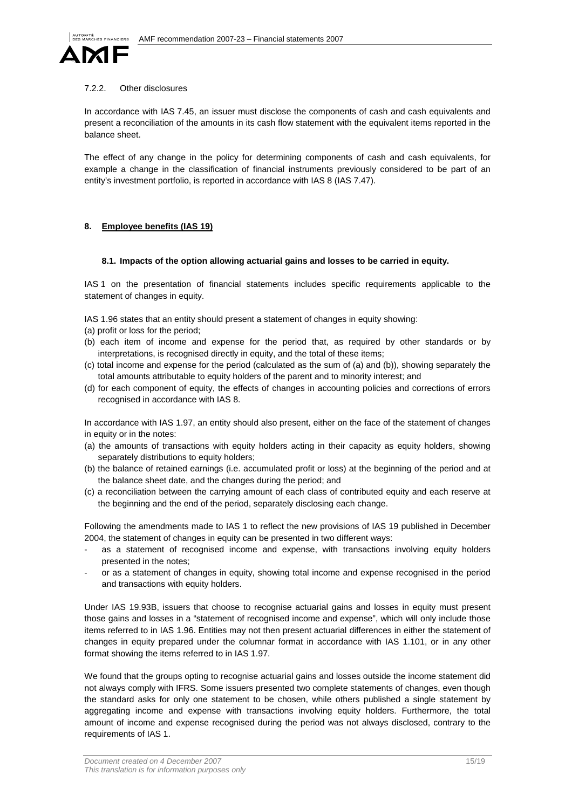

### 7.2.2. Other disclosures

In accordance with IAS 7.45, an issuer must disclose the components of cash and cash equivalents and present a reconciliation of the amounts in its cash flow statement with the equivalent items reported in the balance sheet.

The effect of any change in the policy for determining components of cash and cash equivalents, for example a change in the classification of financial instruments previously considered to be part of an entity's investment portfolio, is reported in accordance with IAS 8 (IAS 7.47).

## **8. Employee benefits (IAS 19)**

## **8.1. Impacts of the option allowing actuarial gains and losses to be carried in equity.**

IAS 1 on the presentation of financial statements includes specific requirements applicable to the statement of changes in equity.

IAS 1.96 states that an entity should present a statement of changes in equity showing:

- (a) profit or loss for the period;
- (b) each item of income and expense for the period that, as required by other standards or by interpretations, is recognised directly in equity, and the total of these items;
- (c) total income and expense for the period (calculated as the sum of (a) and (b)), showing separately the total amounts attributable to equity holders of the parent and to minority interest; and
- (d) for each component of equity, the effects of changes in accounting policies and corrections of errors recognised in accordance with IAS 8.

In accordance with IAS 1.97, an entity should also present, either on the face of the statement of changes in equity or in the notes:

- (a) the amounts of transactions with equity holders acting in their capacity as equity holders, showing separately distributions to equity holders;
- (b) the balance of retained earnings (i.e. accumulated profit or loss) at the beginning of the period and at the balance sheet date, and the changes during the period; and
- (c) a reconciliation between the carrying amount of each class of contributed equity and each reserve at the beginning and the end of the period, separately disclosing each change.

Following the amendments made to IAS 1 to reflect the new provisions of IAS 19 published in December 2004, the statement of changes in equity can be presented in two different ways:

- as a statement of recognised income and expense, with transactions involving equity holders presented in the notes;
- or as a statement of changes in equity, showing total income and expense recognised in the period and transactions with equity holders.

Under IAS 19.93B, issuers that choose to recognise actuarial gains and losses in equity must present those gains and losses in a "statement of recognised income and expense", which will only include those items referred to in IAS 1.96. Entities may not then present actuarial differences in either the statement of changes in equity prepared under the columnar format in accordance with IAS 1.101, or in any other format showing the items referred to in IAS 1.97.

We found that the groups opting to recognise actuarial gains and losses outside the income statement did not always comply with IFRS. Some issuers presented two complete statements of changes, even though the standard asks for only one statement to be chosen, while others published a single statement by aggregating income and expense with transactions involving equity holders. Furthermore, the total amount of income and expense recognised during the period was not always disclosed, contrary to the requirements of IAS 1.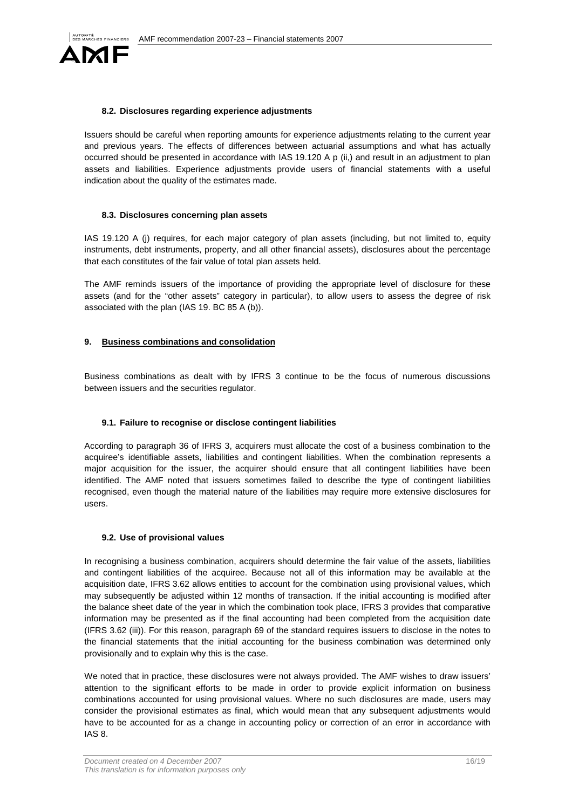

### **8.2. Disclosures regarding experience adjustments**

Issuers should be careful when reporting amounts for experience adjustments relating to the current year and previous years. The effects of differences between actuarial assumptions and what has actually occurred should be presented in accordance with IAS 19.120 A p (ii,) and result in an adjustment to plan assets and liabilities. Experience adjustments provide users of financial statements with a useful indication about the quality of the estimates made.

#### **8.3. Disclosures concerning plan assets**

IAS 19.120 A (j) requires, for each major category of plan assets (including, but not limited to, equity instruments, debt instruments, property, and all other financial assets), disclosures about the percentage that each constitutes of the fair value of total plan assets held.

The AMF reminds issuers of the importance of providing the appropriate level of disclosure for these assets (and for the "other assets" category in particular), to allow users to assess the degree of risk associated with the plan (IAS 19. BC 85 A (b)).

## **9. Business combinations and consolidation**

Business combinations as dealt with by IFRS 3 continue to be the focus of numerous discussions between issuers and the securities regulator.

## **9.1. Failure to recognise or disclose contingent liabilities**

According to paragraph 36 of IFRS 3, acquirers must allocate the cost of a business combination to the acquiree's identifiable assets, liabilities and contingent liabilities. When the combination represents a major acquisition for the issuer, the acquirer should ensure that all contingent liabilities have been identified. The AMF noted that issuers sometimes failed to describe the type of contingent liabilities recognised, even though the material nature of the liabilities may require more extensive disclosures for users.

## **9.2. Use of provisional values**

In recognising a business combination, acquirers should determine the fair value of the assets, liabilities and contingent liabilities of the acquiree. Because not all of this information may be available at the acquisition date, IFRS 3.62 allows entities to account for the combination using provisional values, which may subsequently be adjusted within 12 months of transaction. If the initial accounting is modified after the balance sheet date of the year in which the combination took place, IFRS 3 provides that comparative information may be presented as if the final accounting had been completed from the acquisition date (IFRS 3.62 (iii)). For this reason, paragraph 69 of the standard requires issuers to disclose in the notes to the financial statements that the initial accounting for the business combination was determined only provisionally and to explain why this is the case.

We noted that in practice, these disclosures were not always provided. The AMF wishes to draw issuers' attention to the significant efforts to be made in order to provide explicit information on business combinations accounted for using provisional values. Where no such disclosures are made, users may consider the provisional estimates as final, which would mean that any subsequent adjustments would have to be accounted for as a change in accounting policy or correction of an error in accordance with IAS 8.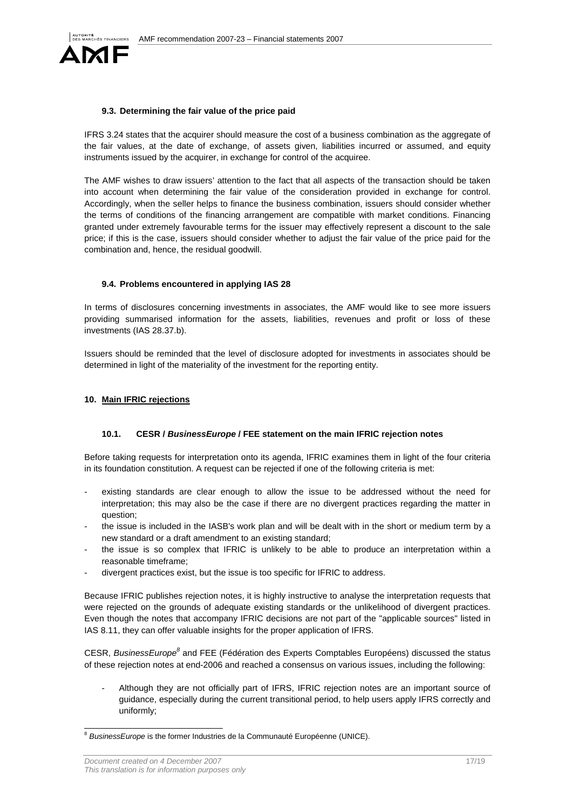

### **9.3. Determining the fair value of the price paid**

IFRS 3.24 states that the acquirer should measure the cost of a business combination as the aggregate of the fair values, at the date of exchange, of assets given, liabilities incurred or assumed, and equity instruments issued by the acquirer, in exchange for control of the acquiree.

The AMF wishes to draw issuers' attention to the fact that all aspects of the transaction should be taken into account when determining the fair value of the consideration provided in exchange for control. Accordingly, when the seller helps to finance the business combination, issuers should consider whether the terms of conditions of the financing arrangement are compatible with market conditions. Financing granted under extremely favourable terms for the issuer may effectively represent a discount to the sale price; if this is the case, issuers should consider whether to adjust the fair value of the price paid for the combination and, hence, the residual goodwill.

### **9.4. Problems encountered in applying IAS 28**

In terms of disclosures concerning investments in associates, the AMF would like to see more issuers providing summarised information for the assets, liabilities, revenues and profit or loss of these investments (IAS 28.37.b).

Issuers should be reminded that the level of disclosure adopted for investments in associates should be determined in light of the materiality of the investment for the reporting entity.

### **10. Main IFRIC rejections**

# **10.1. CESR / BusinessEurope / FEE statement on the main IFRIC rejection notes**

Before taking requests for interpretation onto its agenda, IFRIC examines them in light of the four criteria in its foundation constitution. A request can be rejected if one of the following criteria is met:

- existing standards are clear enough to allow the issue to be addressed without the need for interpretation; this may also be the case if there are no divergent practices regarding the matter in question;
- the issue is included in the IASB's work plan and will be dealt with in the short or medium term by a new standard or a draft amendment to an existing standard;
- the issue is so complex that IFRIC is unlikely to be able to produce an interpretation within a reasonable timeframe;
- divergent practices exist, but the issue is too specific for IFRIC to address.

Because IFRIC publishes rejection notes, it is highly instructive to analyse the interpretation requests that were rejected on the grounds of adequate existing standards or the unlikelihood of divergent practices. Even though the notes that accompany IFRIC decisions are not part of the "applicable sources" listed in IAS 8.11, they can offer valuable insights for the proper application of IFRS.

CESR, BusinessEurope<sup>8</sup> and FEE (Fédération des Experts Comptables Européens) discussed the status of these rejection notes at end-2006 and reached a consensus on various issues, including the following:

- Although they are not officially part of IFRS, IFRIC rejection notes are an important source of guidance, especially during the current transitional period, to help users apply IFRS correctly and uniformly;

 $\overline{a}$ <sup>8</sup> BusinessEurope is the former Industries de la Communauté Européenne (UNICE).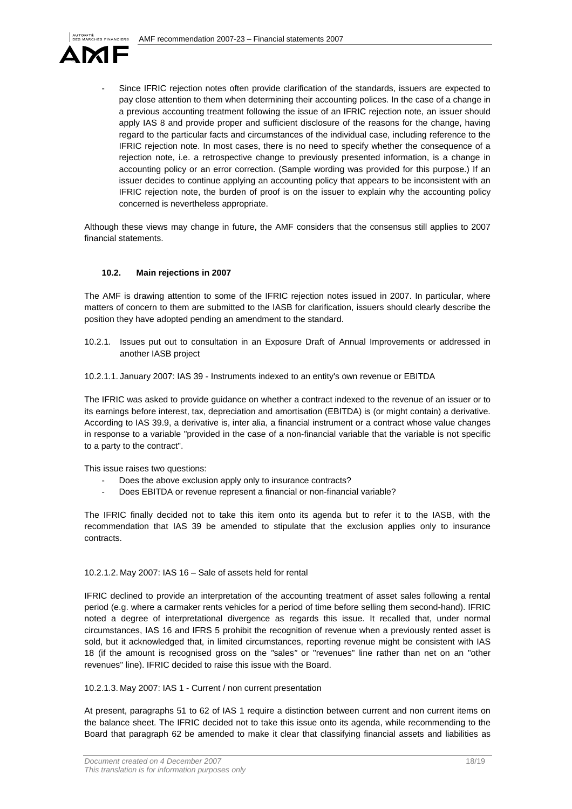

Since IFRIC rejection notes often provide clarification of the standards, issuers are expected to pay close attention to them when determining their accounting polices. In the case of a change in a previous accounting treatment following the issue of an IFRIC rejection note, an issuer should apply IAS 8 and provide proper and sufficient disclosure of the reasons for the change, having regard to the particular facts and circumstances of the individual case, including reference to the IFRIC rejection note. In most cases, there is no need to specify whether the consequence of a rejection note, i.e. a retrospective change to previously presented information, is a change in accounting policy or an error correction. (Sample wording was provided for this purpose.) If an issuer decides to continue applying an accounting policy that appears to be inconsistent with an IFRIC rejection note, the burden of proof is on the issuer to explain why the accounting policy concerned is nevertheless appropriate.

Although these views may change in future, the AMF considers that the consensus still applies to 2007 financial statements.

### **10.2. Main rejections in 2007**

The AMF is drawing attention to some of the IFRIC rejection notes issued in 2007. In particular, where matters of concern to them are submitted to the IASB for clarification, issuers should clearly describe the position they have adopted pending an amendment to the standard.

10.2.1. Issues put out to consultation in an Exposure Draft of Annual Improvements or addressed in another IASB project

10.2.1.1. January 2007: IAS 39 - Instruments indexed to an entity's own revenue or EBITDA

The IFRIC was asked to provide guidance on whether a contract indexed to the revenue of an issuer or to its earnings before interest, tax, depreciation and amortisation (EBITDA) is (or might contain) a derivative. According to IAS 39.9, a derivative is, inter alia, a financial instrument or a contract whose value changes in response to a variable "provided in the case of a non-financial variable that the variable is not specific to a party to the contract".

This issue raises two questions:

- Does the above exclusion apply only to insurance contracts?
- Does EBITDA or revenue represent a financial or non-financial variable?

The IFRIC finally decided not to take this item onto its agenda but to refer it to the IASB, with the recommendation that IAS 39 be amended to stipulate that the exclusion applies only to insurance contracts.

#### 10.2.1.2. May 2007: IAS 16 – Sale of assets held for rental

IFRIC declined to provide an interpretation of the accounting treatment of asset sales following a rental period (e.g. where a carmaker rents vehicles for a period of time before selling them second-hand). IFRIC noted a degree of interpretational divergence as regards this issue. It recalled that, under normal circumstances, IAS 16 and IFRS 5 prohibit the recognition of revenue when a previously rented asset is sold, but it acknowledged that, in limited circumstances, reporting revenue might be consistent with IAS 18 (if the amount is recognised gross on the "sales" or "revenues" line rather than net on an "other revenues" line). IFRIC decided to raise this issue with the Board.

#### 10.2.1.3. May 2007: IAS 1 - Current / non current presentation

At present, paragraphs 51 to 62 of IAS 1 require a distinction between current and non current items on the balance sheet. The IFRIC decided not to take this issue onto its agenda, while recommending to the Board that paragraph 62 be amended to make it clear that classifying financial assets and liabilities as